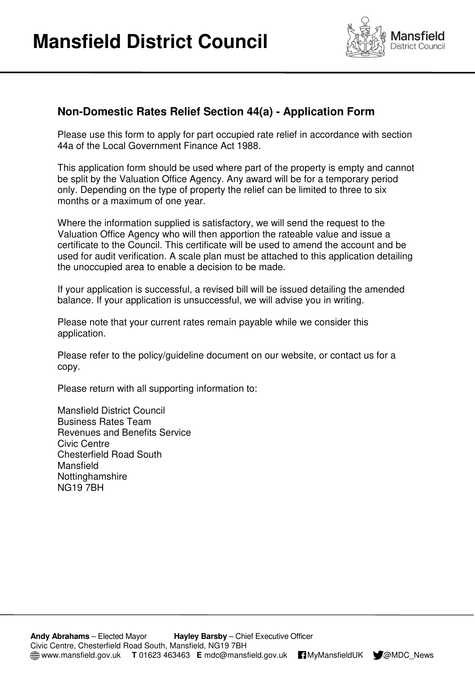

## **Non-Domestic Rates Relief Section 44(a) - Application Form**

 Please use this form to apply for part occupied rate relief in accordance with section 44a of the Local Government Finance Act 1988.

 This application form should be used where part of the property is empty and cannot be split by the Valuation Office Agency. Any award will be for a temporary period only. Depending on the type of property the relief can be limited to three to six months or a maximum of one year.

 Where the information supplied is satisfactory, we will send the request to the Valuation Office Agency who will then apportion the rateable value and issue a certificate to the Council. This certificate will be used to amend the account and be used for audit verification. A scale plan must be attached to this application detailing the unoccupied area to enable a decision to be made.

 If your application is successful, a revised bill will be issued detailing the amended balance. If your application is unsuccessful, we will advise you in writing.

 Please note that your current rates remain payable while we consider this application.

 Please refer to the policy/guideline document on our website, or contact us for a copy.

Please return with all supporting information to:

 Mansfield District Council Business Rates Team Revenues and Benefits Service Civic Centre Chesterfield Road South NG19 7BH Mansfield **Nottinghamshire** 

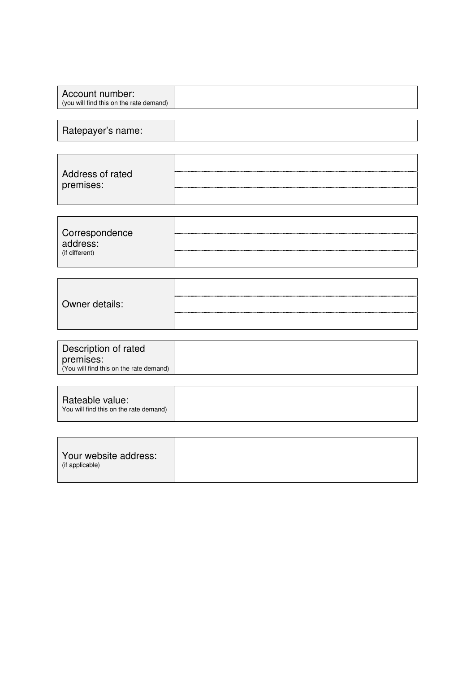|--|

| Address of rated |  |
|------------------|--|
| premises:        |  |
|                  |  |

| Correspondence<br>address:<br>(if different) | <br><br> |
|----------------------------------------------|----------|
|----------------------------------------------|----------|

| Owner details: |  |
|----------------|--|
|                |  |
|                |  |

| Description of rated                    |  |
|-----------------------------------------|--|
| premises:                               |  |
| (You will find this on the rate demand) |  |